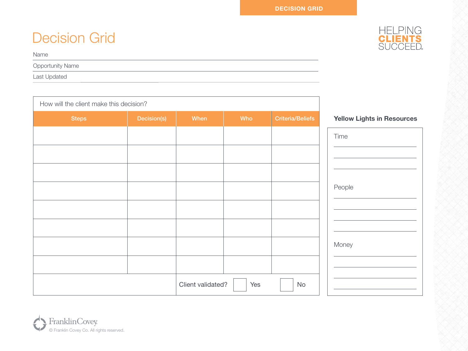# Decision Grid



Opportunity Name

Last Updated

| How will the client make this decision? |             |                   |     |                         |                                   |
|-----------------------------------------|-------------|-------------------|-----|-------------------------|-----------------------------------|
| <b>Steps</b>                            | Decision(s) | When              | Who | <b>Criteria/Beliefs</b> | <b>Yellow Lights in Resources</b> |
|                                         |             |                   |     |                         | Time                              |
|                                         |             |                   |     |                         |                                   |
|                                         |             |                   |     |                         |                                   |
|                                         |             |                   |     |                         | People                            |
|                                         |             |                   |     |                         |                                   |
|                                         |             |                   |     |                         |                                   |
|                                         |             |                   |     |                         |                                   |
|                                         |             |                   |     |                         | Money                             |
|                                         |             |                   |     |                         |                                   |
|                                         |             | Client validated? | Yes | No                      |                                   |